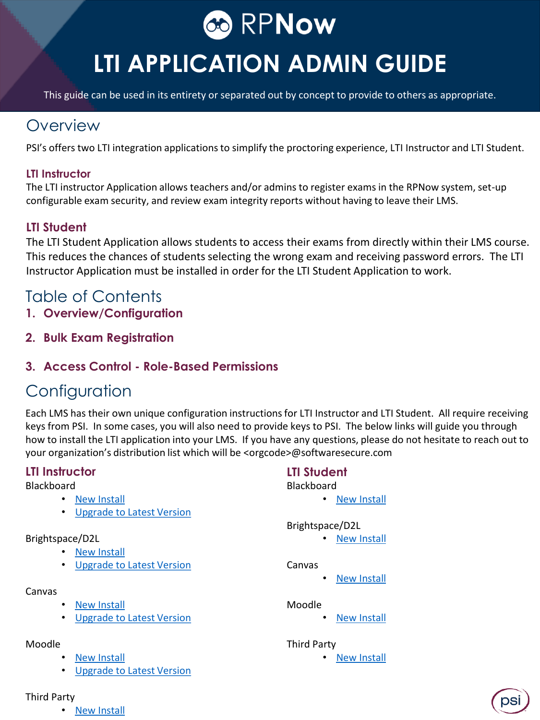

# **LTI APPLICATION ADMIN GUIDE**

This guide can be used in its entirety or separated out by concept to provide to others as appropriate.

### **Overview**

PSI's offers two LTI integration applications to simplify the proctoring experience, LTI Instructor and LTI Student.

### **LTI Instructor**

The LTI instructor Application allows teachers and/or admins to register exams in the RPNow system, set-up configurable exam security, and review exam integrity reports without having to leave their LMS.

### **LTI Student**

The LTI Student Application allows students to access their exams from directly within their LMS course. This reduces the chances of students selecting the wrong exam and receiving password errors. The LTI Instructor Application must be installed in order for the LTI Student Application to work.

### Table of Contents

- **1. Overview/Configuration**
- **2. Bulk Exam Registration**

### **3. Access Control - Role-Based Permissions**

### **Configuration**

Each LMS has their own unique configuration instructions for LTI Instructor and LTI Student. All require receiving keys from PSI. In some cases, you will also need to provide keys to PSI. The below links will guide you through how to install the LTI application into your LMS. If you have any questions, please do not hesitate to reach out to your organization's distribution list which will be <orgcode>@softwaresecure.com

### **LTI Instructor LTI Student**

### Blackboard

- [New Install](http://info.psionline.com/bbltinewinstall)
- [Upgrade to Latest Version](http://info.psionline.com/bbltiupgrade)

### Brightspace/D2L

- [New Install](http://info.psionline.com/d2lltinewinstall)
	- [Upgrade to Latest Version](http://info.psionline.com/d2lltiupgrade)

### Canvas

- **[New Install](http://info.psionline.com/canvasltinewinstall)**
- [Upgrade to Latest Version](http://info.psionline.com/canvasltiupgrade)

### Moodle

- **[New Install](http://info.psionline.com/thirdltinewinstall)**
- [Upgrade to Latest Version](http://info.psionline.com/moodleltiupgrade)

- Blackboard
	- [New Install](http://info.psionline.com/l/65202/2018-05-17/cjd4g5/65202/141558/Student_LTI_Admin_Install_BB.pdf)

### Brightspace/D2L

• [New Install](http://info.psionline.com/l/65202/2018-05-17/cjd4gh/65202/141568/BrightSpace_Student_LTI_Installation.pdf)

#### Canvas

**[New Install](http://info.psionline.com/l/65202/2018-05-17/cjd4g3/65202/141556/Canvas_Student_LTI_Installation.pdf)** 

#### Moodle

**[New Install](http://info.psionline.com/l/65202/2018-05-17/cjd4gp/65202/141574/Moodle_Student_LTI_Installation.pdf)** 

#### Third Party

**[New Install](http://info.psionline.com/l/65202/2018-05-17/cjd4xr/65202/141578/Third_Party_Student_LTI.pdf)** 

- Third Party
	- **[New Install](http://info.psionline.com/thirdltinewinstall)**

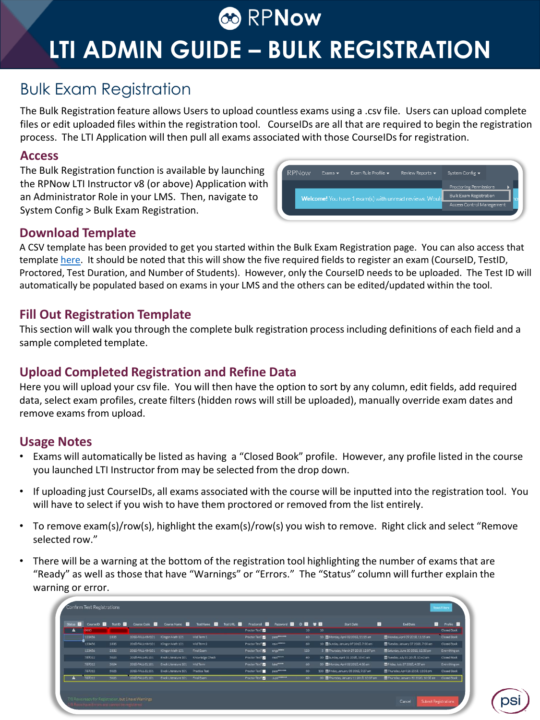# **CO** RPNow

# **LTI ADMIN GUIDE – BULK REGISTRATION**

### Bulk Exam Registration

The Bulk Registration feature allows Users to upload countless exams using a .csv file. Users can upload complete files or edit uploaded files within the registration tool. CourseIDs are all that are required to begin the registration process. The LTI Application will then pull all exams associated with those CourseIDs for registration.

### **Access**

The Bulk Registration function is available by launching the RPNow LTI Instructor v8 (or above) Application with an Administrator Role in your LMS. Then, navigate to System Config > Bulk Exam Registration.

| <b>RPNow</b> | Exams $\blacktriangledown$ | Exam Rule Profile v                                    | Review Reports - | System Config -                                            |  |
|--------------|----------------------------|--------------------------------------------------------|------------------|------------------------------------------------------------|--|
|              |                            |                                                        |                  | Proctoring Permissions                                     |  |
|              |                            | Welcome! You have 1 exam(s) with unread reviews. Would |                  | <b>Bulk Exam Registration</b><br>Access Control Management |  |
|              |                            |                                                        |                  |                                                            |  |

### **Download Template**

A CSV template has been provided to get you started within the Bulk Exam Registration page. You can also access that template [here.](https://v8.instructor.rpexams-dev.com/lti/api/v1/exams/bulk/template) It should be noted that this will show the five required fields to register an exam (CourseID, TestID, Proctored, Test Duration, and Number of Students). However, only the CourseID needs to be uploaded. The Test ID will automatically be populated based on exams in your LMS and the others can be edited/updated within the tool.

### **Fill Out Registration Template**

This section will walk you through the complete bulk registration process including definitions of each field and a sample completed template.

### **Upload Completed Registration and Refine Data**

Here you will upload your csv file. You will then have the option to sort by any column, edit fields, add required data, select exam profiles, create filters (hidden rows will still be uploaded), manually override exam dates and remove exams from upload.

### **Usage Notes**

- Exams will automatically be listed as having a "Closed Book" profile. However, any profile listed in the course you launched LTI Instructor from may be selected from the drop down.
- If uploading just CourseIDs, all exams associated with the course will be inputted into the registration tool. You will have to select if you wish to have them proctored or removed from the list entirely.
- To remove exam(s)/row(s), highlight the exam(s)/row(s) you wish to remove. Right click and select "Remove selected row."
- There will be a warning at the bottom of the registration tool highlighting the number of exams that are "Ready" as well as those that have "Warnings" or "Errors." The "Status" column will further explain the warning or error.

| Status <b>Ed</b> | CourselD <b>D</b> | TestID <b>D</b> | Course Code     | Course Name         | Test Name       | Test URL <b>D</b> | Proctored <b>E</b> | Password <b>D</b> O D   |                 | $\mathbf{v}$ . | $\mathcal{F}$<br>Start Date              | п.<br>End Date                      | Profile <b>D</b> |
|------------------|-------------------|-----------------|-----------------|---------------------|-----------------|-------------------|--------------------|-------------------------|-----------------|----------------|------------------------------------------|-------------------------------------|------------------|
| $\blacktriangle$ | 0000              |                 |                 |                     |                 |                   | Proctor Test?      |                         | 10              | 10             |                                          |                                     | Closed Book      |
|                  | 123456            | 2335            | 2018-FALL-KM101 | Klingon Math 101    | Mid Term 1      |                   | Proctor Test?      | <b>D830*******</b>      | 60              |                | 10 图Monday, April 02 2018, 11:15 am      | Monday, April 09 2018, 11:15 am     | Closed Book      |
|                  | 123456            | 2336            | 2018-FALL-KM101 | Klingon Math 101    | Mid Term 2      |                   | Proctor Test?      | <b>TBWFREEZE</b>        | 60              |                | 10 Sunday, January 07 2018, 7:00 am      | Tuesday, January 07 2020, 7:00 am   | Closed Book      |
|                  | 123456            | 2338            | 2018-FALL-KM101 | Kingon Math 101     | Final Exam      |                   | Proctor Test?      | enge <sup>anne</sup>    | 120             |                | 5 M Thursday, March 29 2018, 12:07 pm    | ■Saturday, June 30 2018, 12:08 pm   | Everything on    |
|                  | 789012            | 5023            | 2018-FALL-EL101 | Ewok Literature 101 | Knowledge Check |                   | Proctor Test?      | next <sup>anses</sup>   | 60              |                | 30 图Sunday, April 01 2018, 10:41 am      | ■Tuesday, July 31 2018, 10:42 am    | Closed Book      |
|                  | 789012            | 5024            | 2018-FALL-EL101 | Ewok Literature 101 | Mid Term        |                   | Proctor Test?      | takerassa               | 60 <sub>1</sub> |                | 30 CMonday, April 02 2018, 4:36 am       | Friday, July 27 2018, 4:37 am       | Everything on    |
|                  | 789012            | 5025            | 2018-FALL-EL101 | Ewok Literature 101 | Practice Test   |                   | Proctor Test?      | Data <sup>ssasses</sup> | 30              |                | 100 EFriday, January 05 2018, 9:27 am    | Thursday, April 26 2018, 12:03 pm   | Closed Book      |
|                  | 789012            | 5026            | 2018-FALL-EL101 | Ewok Literature 101 | Final Exam      |                   | Proctor Test?      | Jund <sup>annoon</sup>  | 60              |                | 30 图 Thursday, January 11 2018, 10:07 am | Thursday, January 30 2020, 10:08 am | Closed Book      |